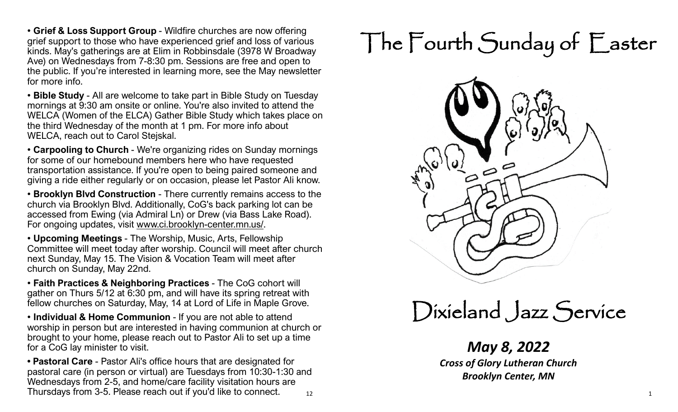• **Grief & Loss Support Group** - Wildfire churches are now offering grief support to those who have experienced grief and loss of various kinds. May's gatherings are at Elim in Robbinsdale (3978 W Broadway Ave) on Wednesdays from 7-8:30 pm. Sessions are free and open to the public. If you're interested in learning more, see the May newsletter for more info.

• **Bible Study** - All are welcome to take part in Bible Study on Tuesday mornings at 9:30 am onsite or online. You're also invited to attend the WELCA (Women of the ELCA) Gather Bible Study which takes place on the third Wednesday of the month at 1 pm. For more info about WELCA, reach out to Carol Stejskal.

• **Carpooling to Church** - We're organizing rides on Sunday mornings for some of our homebound members here who have requested transportation assistance. If you're open to being paired someone and giving a ride either regularly or on occasion, please let Pastor Ali know.

• **Brooklyn Blvd Construction** - There currently remains access to the church via Brooklyn Blvd. Additionally, CoG's back parking lot can be accessed from Ewing (via Admiral Ln) or Drew (via Bass Lake Road). For ongoing updates, visit [www.ci.brooklyn](http://www.ci.brooklyn-center.mn.us/)-center.mn.us/.

• **Upcoming Meetings** - The Worship, Music, Arts, Fellowship Committee will meet today after worship. Council will meet after church next Sunday, May 15. The Vision & Vocation Team will meet after church on Sunday, May 22nd.

• **Faith Practices & Neighboring Practices** - The CoG cohort will gather on Thurs 5/12 at 6:30 pm, and will have its spring retreat with fellow churches on Saturday, May, 14 at Lord of Life in Maple Grove.

• **Individual & Home Communion** - If you are not able to attend worship in person but are interested in having communion at church or brought to your home, please reach out to Pastor Ali to set up a time for a CoG lay minister to visit.

12 **• Pastoral Care** - Pastor Ali's office hours that are designated for pastoral care (in person or virtual) are Tuesdays from 10:30-1:30 and Wednesdays from 2-5, and home/care facility visitation hours are Thursdays from 3-5. Please reach out if you'd like to connect.  $\frac{1}{12}$ 

# The Fourth Sunday of Easter



Dixieland Jazz Service

*May 8, 2022 Cross of Glory Lutheran Church Brooklyn Center, MN*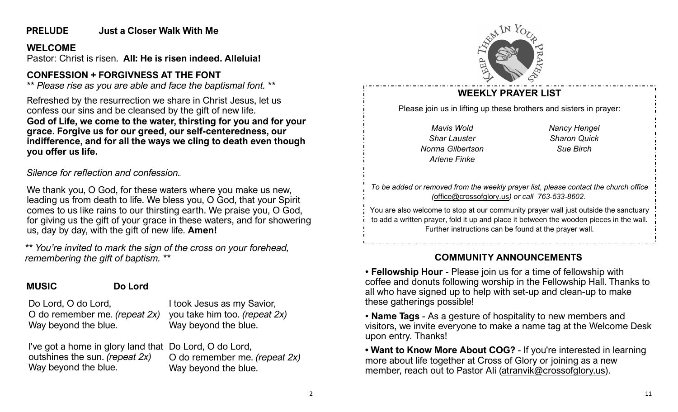#### **PRELUDE Just a Closer Walk With Me**

#### **WELCOME**

Pastor: Christ is risen. **All: He is risen indeed. Alleluia!**

## **CONFESSION + FORGIVNESS AT THE FONT**

*\*\* Please rise as you are able and face the baptismal font. \*\**

Refreshed by the resurrection we share in Christ Jesus, let us confess our sins and be cleansed by the gift of new life. **God of Life, we come to the water, thirsting for you and for your grace. Forgive us for our greed, our self-centeredness, our indifference, and for all the ways we cling to death even though you offer us life.**

*Silence for reflection and confession..*

We thank you, O God, for these waters where you make us new, leading us from death to life. We bless you, O God, that your Spirit comes to us like rains to our thirsting earth. We praise you, O God, for giving us the gift of your grace in these waters, and for showering us, day by day, with the gift of new life. **Amen!**

*\*\* You're invited to mark the sign of the cross on your forehead, remembering the gift of baptism. \*\**

**MUSIC Do Lord**

Do Lord, O do Lord, O do remember me. *(repeat 2x)* Way beyond the blue.

I took Jesus as my Savior, you take him too. *(repeat 2x)* Way beyond the blue.

I've got a home in glory land that Do Lord, O do Lord, outshines the sun. *(repeat 2x)* Way beyond the blue.

O do remember me. *(repeat 2x)* Way beyond the blue.



# **WEEKLY PRAYER LIST**

Please join us in lifting up these brothers and sisters in prayer:

*Mavis Wold Shar Lauster Norma Gilbertson Arlene Finke*

*Nancy Hengel Sharon Quick Sue Birch*

*To be added or removed from the weekly prayer list, please contact the church office (*[office@crossofglory.us](mailto:office@crossofglory.us)*) or call 763-533-8602.*

You are also welcome to stop at our community prayer wall just outside the sanctuary to add a written prayer, fold it up and place it between the wooden pieces in the wall. Further instructions can be found at the prayer wall.

# **COMMUNITY ANNOUNCEMENTS**

• **Fellowship Hour** - Please join us for a time of fellowship with coffee and donuts following worship in the Fellowship Hall. Thanks to all who have signed up to help with set-up and clean-up to make these gatherings possible!

• **Name Tags** - As a gesture of hospitality to new members and visitors, we invite everyone to make a name tag at the Welcome Desk upon entry. Thanks!

**• Want to Know More About COG?** - If you're interested in learning more about life together at Cross of Glory or joining as a new member, reach out to Pastor Ali [\(atranvik@crossofglory.us\)](mailto:atranvik@crossofglory.us).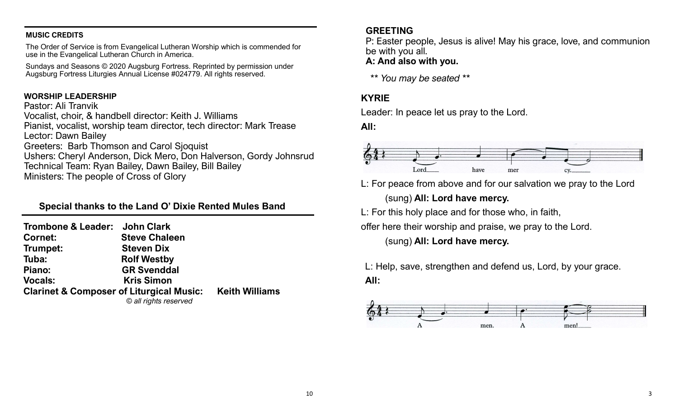#### **MUSIC CREDITS**

The Order of Service is from Evangelical Lutheran Worship which is commended for use in the Evangelical Lutheran Church in America.

Sundays and Seasons © 2020 Augsburg Fortress. Reprinted by permission under Augsburg Fortress Liturgies Annual License #024779. All rights reserved.

#### **WORSHIP LEADERSHIP**

Pastor: Ali Tranvik Vocalist, choir, & handbell director: Keith J. Williams Pianist, vocalist, worship team director, tech director: Mark Trease Lector: Dawn Bailey Greeters: Barb Thomson and Carol Sjoquist Ushers: Cheryl Anderson, Dick Mero, Don Halverson, Gordy Johnsrud Technical Team: Ryan Bailey, Dawn Bailey, Bill Bailey Ministers: The people of Cross of Glory

#### **Special thanks to the Land O' Dixie Rented Mules Band**

| Trombone & Leader: John Clark                                                               |  |
|---------------------------------------------------------------------------------------------|--|
| <b>Steve Chaleen</b>                                                                        |  |
| <b>Steven Dix</b>                                                                           |  |
| <b>Rolf Westby</b>                                                                          |  |
| <b>GR Svenddal</b>                                                                          |  |
| <b>Kris Simon</b>                                                                           |  |
| <b>Clarinet &amp; Composer of Liturgical Music: Keith Williams</b><br>© all rights reserved |  |
|                                                                                             |  |

#### **GREETING**

P: Easter people, Jesus is alive! May his grace, love, and communion be with you all.

#### **A: And also with you.**

*\*\* You may be seated \*\**

#### **KYRIE**

Leader: In peace let us pray to the Lord.

**All:** 



L: For peace from above and for our salvation we pray to the Lord

(sung) **All: Lord have mercy.**

L: For this holy place and for those who, in faith,

offer here their worship and praise, we pray to the Lord.

(sung) **All: Lord have mercy.**

L: Help, save, strengthen and defend us, Lord, by your grace.

**All:**

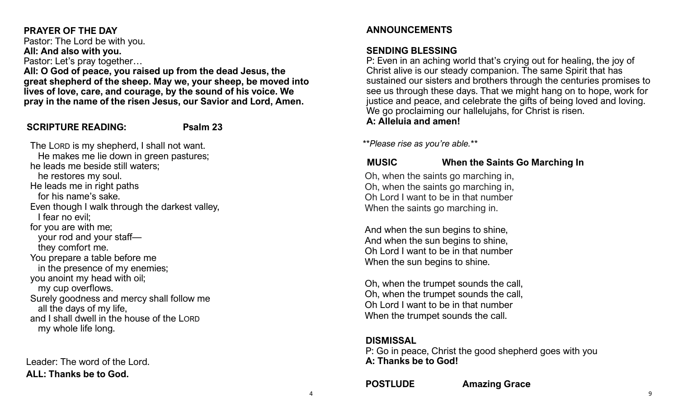### **PRAYER OF THE DAY**

Pastor: The Lord be with you. **All: And also with you.** Pastor: Let's pray together…

**All: O God of peace, you raised up from the dead Jesus, the great shepherd of the sheep. May we, your sheep, be moved into lives of love, care, and courage, by the sound of his voice. We pray in the name of the risen Jesus, our Savior and Lord, Amen.** 

#### **SCRIPTURE READING: Psalm 23**

The LORD is my shepherd, I shall not want. He makes me lie down in green pastures; he leads me beside still waters; he restores my soul. He leads me in right paths for his name's sake. Even though I walk through the darkest valley, I fear no evil; for you are with me; your rod and your staff they comfort me. You prepare a table before me in the presence of my enemies; you anoint my head with oil; my cup overflows. Surely goodness and mercy shall follow me all the days of my life, and I shall dwell in the house of the LORD my whole life long.

Leader: The word of the Lord. **ALL: Thanks be to God.**

#### **ANNOUNCEMENTS**

#### **SENDING BLESSING**

P: Even in an aching world that's crying out for healing, the joy of Christ alive is our steady companion. The same Spirit that has sustained our sisters and brothers through the centuries promises to see us through these days. That we might hang on to hope, work for justice and peace, and celebrate the gifts of being loved and loving. We go proclaiming our hallelujahs, for Christ is risen. **A: Alleluia and amen!**

*\*\*Please rise as you're able.\*\**

### **MUSIC When the Saints Go Marching In**

Oh, when the saints go marching in, Oh, when the saints go marching in, Oh Lord I want to be in that number When the saints go marching in.

And when the sun begins to shine, And when the sun begins to shine, Oh Lord I want to be in that number When the sun begins to shine.

Oh, when the trumpet sounds the call, Oh, when the trumpet sounds the call, Oh Lord I want to be in that number When the trumpet sounds the call.

#### **DISMISSAL**

P: Go in peace, Christ the good shepherd goes with you **A: Thanks be to God!**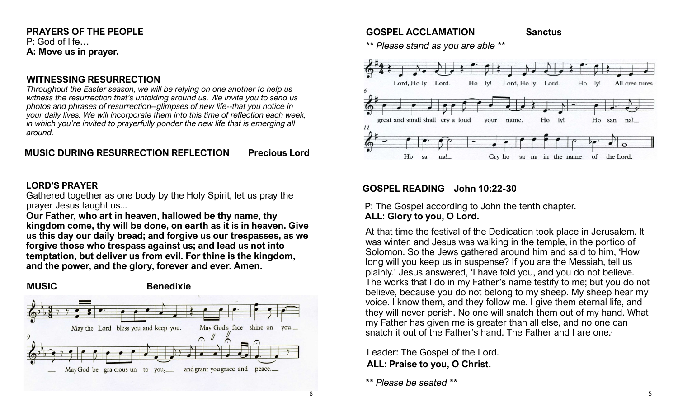#### **PRAYERS OF THE PEOPLE** P: God of life… **A: Move us in prayer.**

#### **WITNESSING RESURRECTION**

*Throughout the Easter season, we will be relying on one another to help us witness the resurrection that's unfolding around us. We invite you to send us photos and phrases of resurrection--glimpses of new life--that you notice in your daily lives. We will incorporate them into this time of reflection each week, in which you're invited to prayerfully ponder the new life that is emerging all around.*

#### **MUSIC DURING RESURRECTION REFLECTION Precious Lord**

#### **LORD'S PRAYER**

Gathered together as one body by the Holy Spirit, let us pray the prayer Jesus taught us...

**Our Father, who art in heaven, hallowed be thy name, thy kingdom come, thy will be done, on earth as it is in heaven. Give us this day our daily bread; and forgive us our trespasses, as we forgive those who trespass against us; and lead us not into temptation, but deliver us from evil. For thine is the kingdom, and the power, and the glory, forever and ever. Amen.** 



#### **GOSPEL ACCLAMATION Sanctus**

*\*\* Please stand as you are able \*\**



#### **GOSPEL READING John 10:22-30**

#### P: The Gospel according to John the tenth chapter. **ALL: Glory to you, O Lord.**

At that time the festival of the Dedication took place in Jerusalem. It was winter, and Jesus was walking in the temple, in the portico of Solomon. So the Jews gathered around him and said to him, 'How long will you keep us in suspense? If you are the Messiah, tell us plainly.' Jesus answered, 'I have told you, and you do not believe. The works that I do in my Father's name testify to me; but you do not believe, because you do not belong to my sheep. My sheep hear my voice. I know them, and they follow me. I give them eternal life, and they will never perish. No one will snatch them out of my hand. What my Father has given me is greater than all else, and no one can snatch it out of the Father's hand. The Father and I are one.'

Leader: The Gospel of the Lord. **ALL: Praise to you, O Christ.**

*\*\* Please be seated \*\**